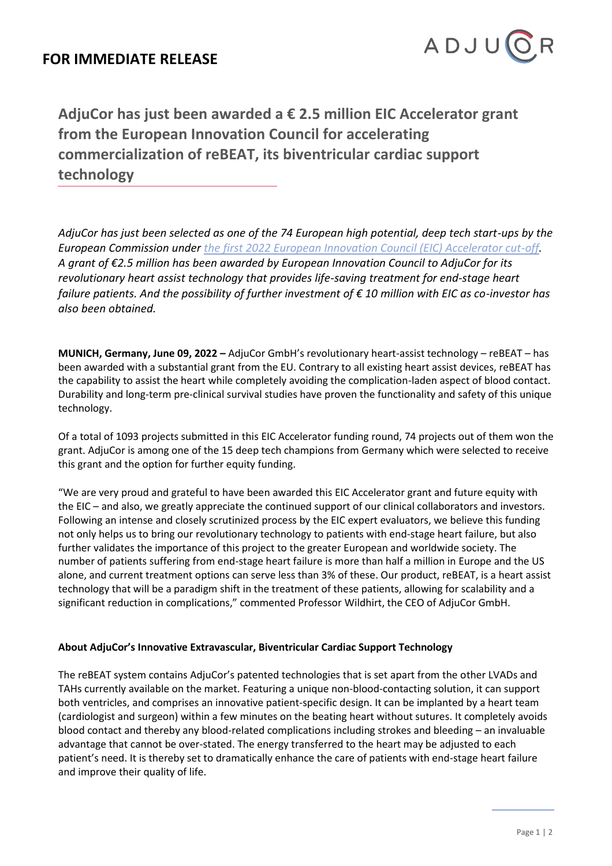

**AdjuCor has just been awarded a € 2.5 million EIC Accelerator grant from the European Innovation Council for accelerating commercialization of reBEAT, its biventricular cardiac support technology**

*AdjuCor has just been selected as one of the 74 European high potential, deep tech start-ups by the European Commission under [the first 2022 European Innovation Council \(EIC\) Accelerator cut-off.](https://eic.ec.europa.eu/news/most-competitive-eic-accelerator-cut-awards-major-funding-round-74-europes-high-potential-start-ups-2022-06-07_en) A grant of €2.5 million has been awarded by European Innovation Council to AdjuCor for its revolutionary heart assist technology that provides life-saving treatment for end-stage heart failure patients. And the possibility of further investment of € 10 million with EIC as co-investor has also been obtained.* 

**MUNICH, Germany, June 09, 2022 –** AdjuCor GmbH's revolutionary heart-assist technology – reBEAT – has been awarded with a substantial grant from the EU. Contrary to all existing heart assist devices, reBEAT has the capability to assist the heart while completely avoiding the complication-laden aspect of blood contact. Durability and long-term pre-clinical survival studies have proven the functionality and safety of this unique technology.

Of a total of 1093 projects submitted in this EIC Accelerator funding round, 74 projects out of them won the grant. AdjuCor is among one of the 15 deep tech champions from Germany which were selected to receive this grant and the option for further equity funding.

"We are very proud and grateful to have been awarded this EIC Accelerator grant and future equity with the EIC – and also, we greatly appreciate the continued support of our clinical collaborators and investors. Following an intense and closely scrutinized process by the EIC expert evaluators, we believe this funding not only helps us to bring our revolutionary technology to patients with end-stage heart failure, but also further validates the importance of this project to the greater European and worldwide society. The number of patients suffering from end-stage heart failure is more than half a million in Europe and the US alone, and current treatment options can serve less than 3% of these. Our product, reBEAT, is a heart assist technology that will be a paradigm shift in the treatment of these patients, allowing for scalability and a significant reduction in complications," commented Professor Wildhirt, the CEO of AdjuCor GmbH.

## **About AdjuCor's Innovative Extravascular, Biventricular Cardiac Support Technology**

The reBEAT system contains AdjuCor's patented technologies that is set apart from the other LVADs and TAHs currently available on the market. Featuring a unique non-blood-contacting solution, it can support both ventricles, and comprises an innovative patient-specific design. It can be implanted by a heart team (cardiologist and surgeon) within a few minutes on the beating heart without sutures. It completely avoids blood contact and thereby any blood-related complications including strokes and bleeding – an invaluable advantage that cannot be over-stated. The energy transferred to the heart may be adjusted to each patient's need. It is thereby set to dramatically enhance the care of patients with end-stage heart failure and improve their quality of life.